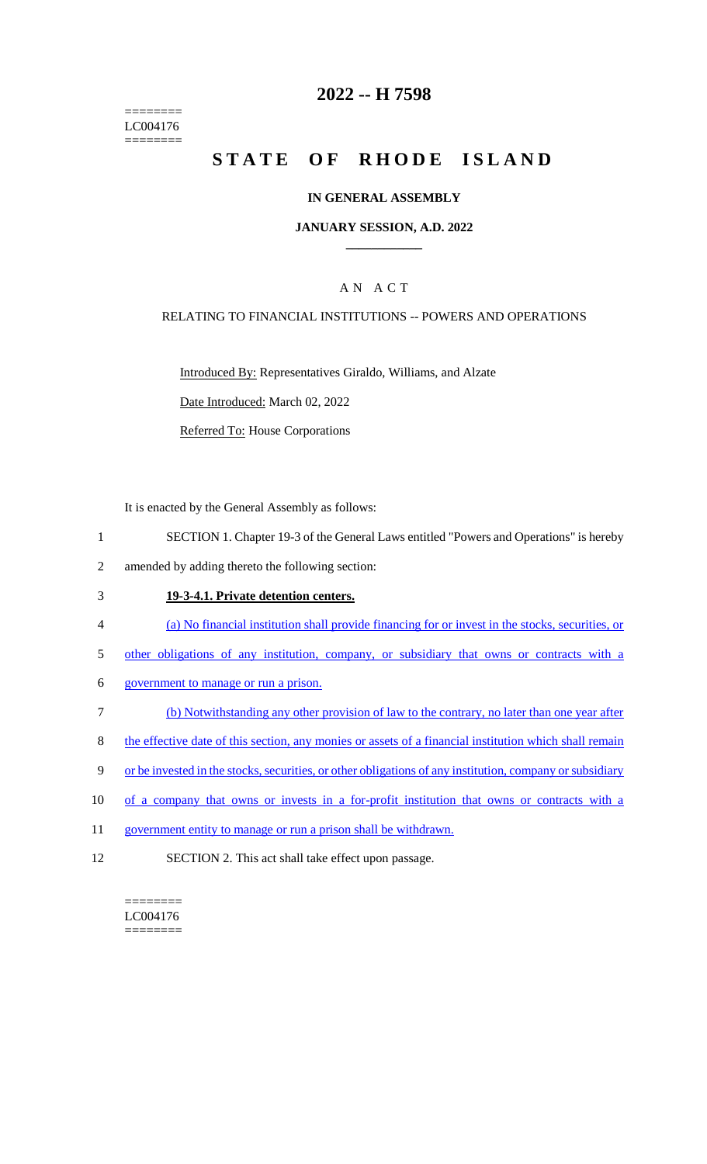======== LC004176 ========

## **2022 -- H 7598**

# **STATE OF RHODE ISLAND**

## **IN GENERAL ASSEMBLY**

### **JANUARY SESSION, A.D. 2022 \_\_\_\_\_\_\_\_\_\_\_\_**

## A N A C T

### RELATING TO FINANCIAL INSTITUTIONS -- POWERS AND OPERATIONS

Introduced By: Representatives Giraldo, Williams, and Alzate

Date Introduced: March 02, 2022

Referred To: House Corporations

It is enacted by the General Assembly as follows:

- 1 SECTION 1. Chapter 19-3 of the General Laws entitled "Powers and Operations" is hereby
- 2 amended by adding thereto the following section:

#### 3 **19-3-4.1. Private detention centers.**

- 4 (a) No financial institution shall provide financing for or invest in the stocks, securities, or
- 5 other obligations of any institution, company, or subsidiary that owns or contracts with a
- 6 government to manage or run a prison.
- 7 (b) Notwithstanding any other provision of law to the contrary, no later than one year after
- 8 the effective date of this section, any monies or assets of a financial institution which shall remain
- 9 or be invested in the stocks, securities, or other obligations of any institution, company or subsidiary
- 10 of a company that owns or invests in a for-profit institution that owns or contracts with a
- 11 government entity to manage or run a prison shall be withdrawn.
- 12 SECTION 2. This act shall take effect upon passage.

 $=$ LC004176 ========